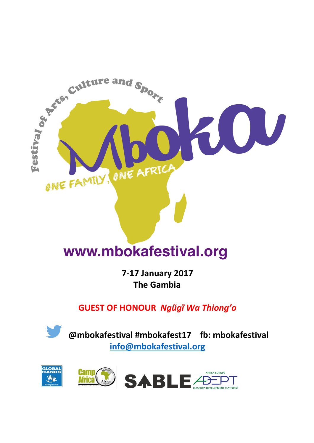

# www.mbokafestival.org

**7-17 January 2017 The Gambia**

**GUEST OF HONOUR** *Ngũgĩ Wa Thiong'o*

**@mbokafestival #mbokafest17 fb: mbokafestival info@mbokafestival.org** 

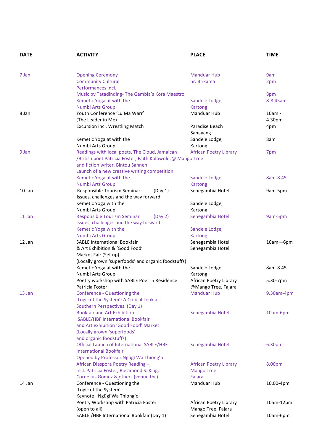| <b>DATE</b> | <b>ACTIVITY</b>                                                            | <b>PLACE</b>                                  | <b>TIME</b>     |
|-------------|----------------------------------------------------------------------------|-----------------------------------------------|-----------------|
|             |                                                                            |                                               |                 |
| 7 Jan       | <b>Opening Ceremony</b>                                                    | <b>Manduar Hub</b>                            | 9am             |
|             | <b>Community Cultural</b><br>Performances incl.                            | nr. Brikama                                   | 2pm             |
|             |                                                                            |                                               |                 |
|             | Music by Tatadinding-The Gambia's Kora Maestro<br>Kemetic Yoga at with the |                                               | 8pm<br>8-8.45am |
|             | Numbi Arts Group                                                           | Sandele Lodge,<br><b>Kartong</b>              |                 |
| 8 Jan       | Youth Conference 'Lu Ma Warr'                                              | Manduar Hub                                   | 10am -          |
|             | (The Leader in Me)                                                         |                                               | 4.30pm          |
|             | <b>Excursion incl. Wrestling Match</b>                                     | Paradise Beach                                | 4pm             |
|             |                                                                            | Sanayang                                      |                 |
|             | Kemetic Yoga at with the                                                   | Sandele Lodge,                                | 8am             |
|             | Numbi Arts Group                                                           | Kartong                                       |                 |
| 9 Jan       | Readings with local poets, The Cloud, Jamaican                             | <b>African Poetry Library</b>                 | 7pm             |
|             | /British poet Patricia Foster, Faith Kolowole, @ Mango Tree                |                                               |                 |
|             | and fiction writer, Bintou Sanneh                                          |                                               |                 |
|             | Launch of a new creative writing competition                               |                                               |                 |
|             | Kemetic Yoga at with the                                                   | Sandele Lodge,                                | 8am-8.45        |
|             | Numbi Arts Group                                                           | <b>Kartong</b>                                |                 |
| 10 Jan      | Responsible Tourism Seminar:<br>(Day 1)                                    | Senegambia Hotel                              | 9am-5pm         |
|             | Issues, challenges and the way forward                                     |                                               |                 |
|             | Kemetic Yoga with the                                                      | Sandele Lodge,                                |                 |
|             | Numbi Arts Group                                                           | Kartong                                       |                 |
| 11 Jan      | <b>Responsible Tourism Seminar</b><br>(Day 2)                              | Senegambia Hotel                              | 9am-5pm         |
|             | Issues, challenges and the way forward :                                   |                                               |                 |
|             | Kemetic Yoga with the                                                      | Sandele Lodge,                                |                 |
|             | Numbi Arts Group                                                           | <b>Kartong</b>                                |                 |
| 12 Jan      | <b>SABLE International Bookfair</b>                                        | Senegambia Hotel                              | 10am-6pm        |
|             | & Art Exhibition & 'Good Food'                                             | Senegambia Hotel                              |                 |
|             | Market Fair (Set up)                                                       |                                               |                 |
|             | (Locally grown 'superfoods' and organic foodstuffs)                        |                                               |                 |
|             | Kemetic Yoga at with the                                                   | Sandele Lodge,                                | 8am-8.45        |
|             | Numbi Arts Group<br>Poetry workshop with SABLE Poet in Residence           | Kartong                                       |                 |
|             |                                                                            | African Poetry Library<br>@Mango Tree, Fajara | 5.30-7pm        |
| 13 Jan      | Patricia Foster                                                            | <b>Manduar Hub</b>                            |                 |
|             | Conference - Questioning the<br>'Logic of the System': A Critical Look at  |                                               | 9.30am-4pm      |
|             | Southern Perspectives. (Day 1)                                             |                                               |                 |
|             | <b>Bookfair and Art Exhibition</b>                                         | Senegambia Hotel                              | 10am-6pm        |
|             | <b>SABLE/HBF International Bookfair</b>                                    |                                               |                 |
|             | and Art exhibition 'Good Food' Market                                      |                                               |                 |
|             | (Locally grown 'superfoods'                                                |                                               |                 |
|             | and organic foodstuffs)                                                    |                                               |                 |
|             | Official Launch of International SABLE/HBF                                 | Senegambia Hotel                              | 6.30pm          |
|             | <b>International Bookfair</b>                                              |                                               |                 |
|             | Opened by Professor Ngũgĩ Wa Thiong'o                                      |                                               |                 |
|             | African Diaspora Poetry Reading -,                                         | <b>African Poetry Library</b>                 | 8.00pm          |
|             | incl. Patricia Foster, Rosamond S. King,                                   | <b>Mango Tree</b>                             |                 |
|             | Cornelius Gomez & others (venue tbc)                                       | Fajara                                        |                 |
| 14 Jan      | Conference - Questioning the                                               | Manduar Hub                                   | 10.00-4pm       |
|             | 'Logic of the System'                                                      |                                               |                 |
|             | Keynote: Ngũgĩ Wa Thiong'o                                                 |                                               |                 |
|             | Poetry Workshop with Patricia Foster                                       | African Poetry Library                        | 10am-12pm       |
|             | (open to all)                                                              | Mango Tree, Fajara                            |                 |
|             | SABLE /HBF International Bookfair (Day 1)                                  | Senegambia Hotel                              | 10am-6pm        |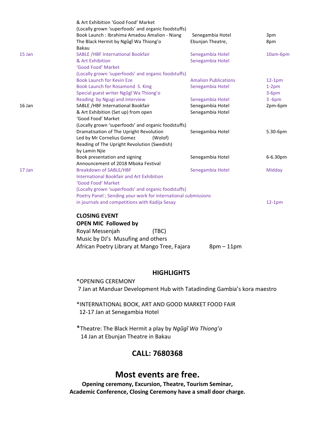|        | & Art Exhibition 'Good Food' Market<br>(Locally grown 'superfoods' and organic foodstuffs)<br>Book Launch : Ibrahima Amadou Amalion - Niang | Senegambia Hotel            | 3pm       |  |  |
|--------|---------------------------------------------------------------------------------------------------------------------------------------------|-----------------------------|-----------|--|--|
|        | The Black Hermit by Ngũgĩ Wa Thiong'o<br>Bakau                                                                                              | Ebunjan Theatre,            | 8pm       |  |  |
| 15 Jan | <b>SABLE /HBF International Bookfair</b>                                                                                                    | Senegambia Hotel            | 10am-6pm  |  |  |
|        | & Art Exhibition                                                                                                                            | Senegambia Hotel            |           |  |  |
|        | 'Good Food' Market                                                                                                                          |                             |           |  |  |
|        | (Locally grown 'superfoods' and organic foodstuffs)                                                                                         |                             |           |  |  |
|        | <b>Book Launch for Kevin Eze</b>                                                                                                            | <b>Amalion Publications</b> | $12-1pm$  |  |  |
|        | Book Launch for Rosamond S. King                                                                                                            | Senegambia Hotel            | $1-2pm$   |  |  |
|        | Special guest writer Ngũgĩ Wa Thiong'o                                                                                                      |                             | $3-6pm$   |  |  |
|        | Reading by Ngugi and interview                                                                                                              | Senegambia Hotel            | $3 - 6pm$ |  |  |
| 16 Jan | SABLE /HBF International Bookfair                                                                                                           | Senegambia Hotel            | 2pm-6pm   |  |  |
|        | & Art Exhibition (Set up) from open                                                                                                         | Senegambia Hotel            |           |  |  |
|        | 'Good Food' Market                                                                                                                          |                             |           |  |  |
|        | (Locally grown 'superfoods' and organic foodstuffs)                                                                                         |                             |           |  |  |
|        | Dramatisation of The Upright Revolution                                                                                                     | Senegambia Hotel            | 5.30-6pm  |  |  |
|        | Led by Mr Cornelius Gomez<br>(Wolof)                                                                                                        |                             |           |  |  |
|        | Reading of The Upright Revolution (Swedish)<br>by Lamin Njie                                                                                |                             |           |  |  |
|        | Book presentation and signing                                                                                                               | Senegambia Hotel            | 6-6.30pm  |  |  |
|        | Announcement of 2018 Mboka Festival                                                                                                         |                             |           |  |  |
| 17 Jan | <b>Breakdown of SABLE/HBF</b>                                                                                                               | Senegambia Hotel            | Midday    |  |  |
|        | <b>International Bookfair and Art Exhibition</b>                                                                                            |                             |           |  |  |
|        | 'Good Food' Market                                                                                                                          |                             |           |  |  |
|        | (Locally grown 'superfoods' and organic foodstuffs)                                                                                         |                             |           |  |  |
|        | Poetry Panel ; Sending your work for international submissions                                                                              |                             |           |  |  |
|        | in journals and competitions with Kadija Sesay                                                                                              |                             | $12-1pm$  |  |  |
|        | <b>CLOSING EVENT</b>                                                                                                                        |                             |           |  |  |
|        | <b>OPEN MIC Followed by</b>                                                                                                                 |                             |           |  |  |
|        | Royal Messenjah<br>(TBC)                                                                                                                    |                             |           |  |  |
|        | Music by DJ's Musufing and others                                                                                                           |                             |           |  |  |
|        | African Poetry Library at Mango Tree, Fajara                                                                                                | $8pm-11pm$                  |           |  |  |
|        |                                                                                                                                             |                             |           |  |  |
|        |                                                                                                                                             |                             |           |  |  |
|        |                                                                                                                                             |                             |           |  |  |

#### **HIGHLIGHTS**

\*OPENING CEREMONY 7 Jan at Manduar Development Hub with Tatadinding Gambia's kora maestro

\*INTERNATIONAL BOOK, ART AND GOOD MARKET FOOD FAIR 12-17 Jan at Senegambia Hotel

\*Theatre: The Black Hermit a play by *Ngũgĩ Wa Thiong'o* 14 Jan at Ebunjan Theatre in Bakau

#### **CALL: 7680368**

### **Most events are free.**

**Opening ceremony, Excursion, Theatre, Tourism Seminar, Academic Conference, Closing Ceremony have a small door charge.**